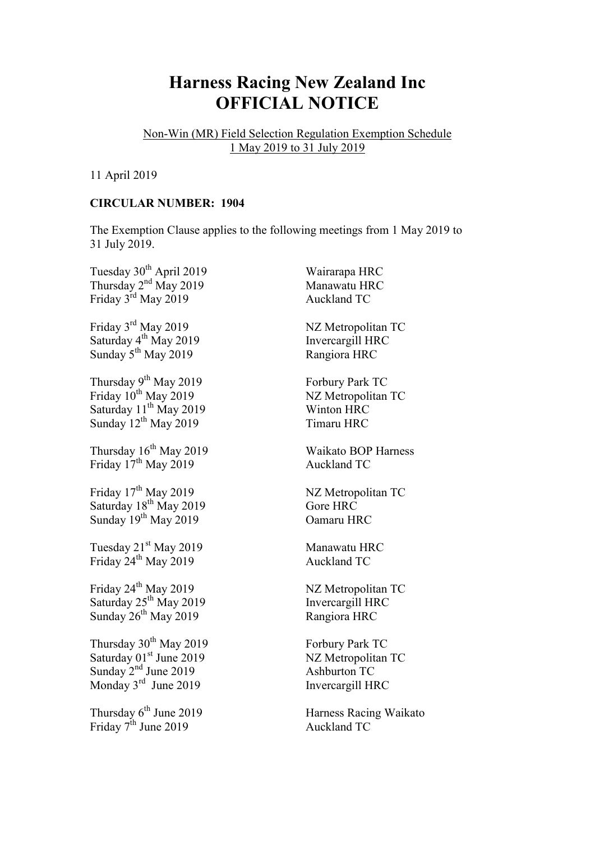## **Harness Racing New Zealand Inc OFFICIAL NOTICE**

Non-Win (MR) Field Selection Regulation Exemption Schedule 1 May 2019 to 31 July 2019

11 April 2019

## **CIRCULAR NUMBER: 1904**

The Exemption Clause applies to the following meetings from 1 May 2019 to 31 July 2019.

| Tuesday 30 <sup>th</sup> April 2019 | Wairarapa HRC              |
|-------------------------------------|----------------------------|
| Thursday 2 <sup>nd</sup> May 2019   | Manawatu HRC               |
| Friday 3 <sup>rd</sup> May 2019     | Auckland TC                |
| Friday 3 <sup>rd</sup> May 2019     | NZ Metropolitan TC         |
| Saturday 4 <sup>th</sup> May 2019   | Invercargill HRC           |
| Sunday 5 <sup>th</sup> May 2019     | Rangiora HRC               |
| Thursday 9 <sup>th</sup> May 2019   | Forbury Park TC            |
| Friday 10 <sup>th</sup> May 2019    | NZ Metropolitan TC         |
| Saturday 11 <sup>th</sup> May 2019  | <b>Winton HRC</b>          |
| Sunday $12^{th}$ May 2019           | <b>Timaru HRC</b>          |
| Thursday $16^{th}$ May 2019         | <b>Waikato BOP Harness</b> |
| Friday 17 <sup>th</sup> May 2019    | Auckland TC                |
| Friday 17 <sup>th</sup> May 2019    | NZ Metropolitan TC         |
| Saturday 18 <sup>th</sup> May 2019  | Gore HRC                   |
| Sunday $19^{th}$ May 2019           | Oamaru HRC                 |
| Tuesday 21 <sup>st</sup> May 2019   | Manawatu HRC               |
| Friday 24 <sup>th</sup> May 2019    | Auckland TC                |
| Friday 24 <sup>th</sup> May 2019    | NZ Metropolitan TC         |
| Saturday 25 <sup>th</sup> May 2019  | Invercargill HRC           |
| Sunday $26^{th}$ May 2019           | Rangiora HRC               |
| Thursday 30 <sup>th</sup> May 2019  | Forbury Park TC            |
| Saturday 01st June 2019             | NZ Metropolitan TC         |
| Sunday 2 <sup>nd</sup> June 2019    | <b>Ashburton TC</b>        |
| Monday 3rd June 2019                | Invercargill HRC           |
| Thursday 6 <sup>th</sup> June 2019  | Harness Racing Waikato     |
| Friday $7th$ June 2019              | <b>Auckland TC</b>         |